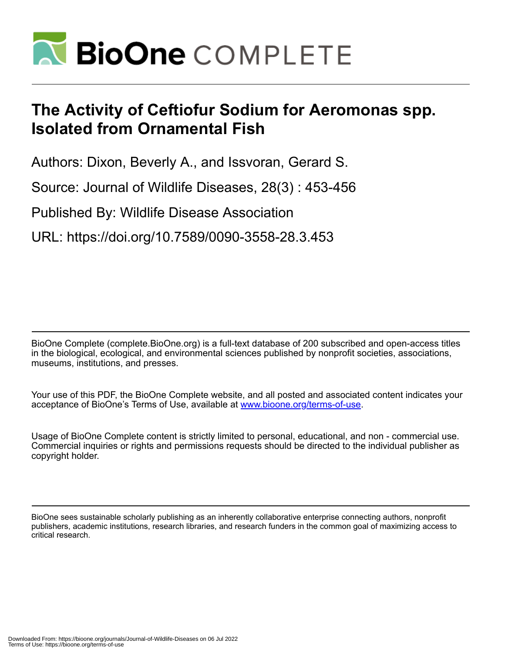

# **The Activity of Ceftiofur Sodium for Aeromonas spp. Isolated from Ornamental Fish**

Authors: Dixon, Beverly A., and Issvoran, Gerard S.

Source: Journal of Wildlife Diseases, 28(3) : 453-456

Published By: Wildlife Disease Association

URL: https://doi.org/10.7589/0090-3558-28.3.453

BioOne Complete (complete.BioOne.org) is a full-text database of 200 subscribed and open-access titles in the biological, ecological, and environmental sciences published by nonprofit societies, associations, museums, institutions, and presses.

Your use of this PDF, the BioOne Complete website, and all posted and associated content indicates your acceptance of BioOne's Terms of Use, available at www.bioone.org/terms-of-use.

Usage of BioOne Complete content is strictly limited to personal, educational, and non - commercial use. Commercial inquiries or rights and permissions requests should be directed to the individual publisher as copyright holder.

BioOne sees sustainable scholarly publishing as an inherently collaborative enterprise connecting authors, nonprofit publishers, academic institutions, research libraries, and research funders in the common goal of maximizing access to critical research.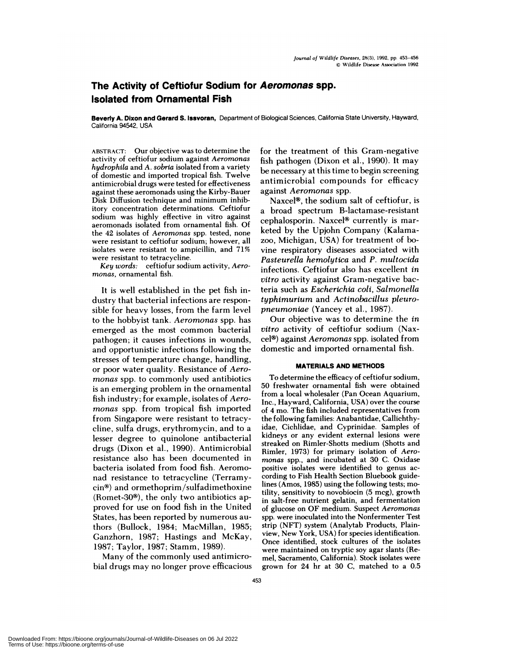# **The Activity of Ceftiofur Sodium for Aeromonas spp. Isolated from Ornamental Fish**

**Beverly A. Dixon and Gerard S. Issvoran,** Department of Biological Sciences, California State University, Hayward, California 94542, USA

ABSTRACT: Our objective was to determine the activity of ceftiofur sodium against *Aeromonas hydrophila* and *A.sobria* isolated from a variety of domestic and imported tropical fish. Twelve antimicrobial drugs were tested for effectiveness against these aeromonads using the Kirby-Bauer Disk Diffusion technique and minimum inhibitory concentration determinations. Ceftiofur sodium was highly effective in vitro against aeromonads isolated from ornamental fish. Of the 42 isolates of *Aeromonas* spp. tested, none were resistant to ceftiofur sodium; however, all isolates were resistant to ampicillin, and 71% were resistant to tetracycline.

*Key words:* ceftiofur sodium activity, *Aero monas,* ornamental fish.

It is well established in the pet fish industry that bacterial infections are responsible for heavy losses, from the farm level to the hobbyist tank. *Aeromonas* spp. has emerged as the most common bacterial pathogen; it causes infections in wounds, and opportunistic infections following the stresses of temperature change, handling, or poor water quality. Resistance of *Aero monas* spp. to commonly used antibiotics is an emerging problem in the ornamental fish industry; for example, isolates of *Aero monas* spp. from tropical fish imported from Singapore were resistant to tetracycline, sulfa drugs, erythromycin, and to a lesser degree to quinolone antibacterial drugs (Dixon et a!., 1990). Antimicrobial resistance also has been documented in bacteria isolated from food fish. Aeromonad resistance to tetracycline (Terramy- $\sin$ <sup>®</sup>) and ormethoprim/sulfadimethoxine (Romet-30 $\textcircled{\tiny{8}}$ ), the only two antibiotics approved for use on food fish in the United States, has been reported by numerous authors (Bullock, 1984; MacMillan, 1985; Ganzhorn, 1987; Hastings and McKay, 1987; Taylor, 1987; Stamm, 1989).

Many of the commonly used antimicrobial drugs may no longer prove efficacious for the treatment of this Gram-negative fish pathogen (Dixon et al., 1990). It may be necessary at this time to begin screening antim icrobial com pounds for efficacy against *Aeromonas* spp.

Naxcel $\mathcal{P}$ , the sodium salt of ceftiofur, is a broad spectrum B-lactamase-resistant cephalosporin. Naxcel<sup>®</sup> currently is marketed by the Upjohn Company (Kalamazoo, Michigan, USA) for treatment of bovine respiratory diseases associated with *Pasteurella hemolytica* and *P. multocida* infections. Ceftiofur also has excellent *in vitro* activity against Gram-negative bacteria such as *Escherichia coli, Salmonella typhimurium* and *Actinobacillus pleuropneumoniae* (Yancey et al., 1987).

Our objective was to determine the *in vitro* activity of ceftiofur sodium (Naxcel<sup>®</sup>) against *Aeromonas* spp. isolated from domestic and imported ornamental fish.

# **MATERIALS AND METHODS**

To determine the efficacy of ceftiofur sodium, 50 freshwater ornamental fish were obtained from a local wholesaler (Pan Ocean Aquarium, Inc., Hayward, California, USA) over the course of 4 mo. The fish included representatives from the following families: Anabantidae, Callichthyidae, Cichlidae, and Cyprinidae. Samples of kidneys or any evident external lesions were streaked on Rimler-Shotts medium (Shotts and Rimler, 1973) for primary isolation of *Aero monas* spp., and incubated at 30 C. Oxidase positive isolates were identified to genus ac cording to Fish Health Section Bluebook guidelines (Amos, 1985) using the following tests; motility, sensitivity to novobiocin (5 mcg), growth in salt-free nutrient gelatin, and fermentation of glucose on OF medium. Suspect *Aeromonas* spp. were inoculated into the Nonfermenter Test strip (NFT) system (Analytab Products, Plainview, New York, USA) for species identification. Once identified, stock cultures of the isolates were maintained on tryptic soy agar slants (Remel, Sacramento, California). Stock isolates were grown for 24 hr at 30 C, matched to a 0.5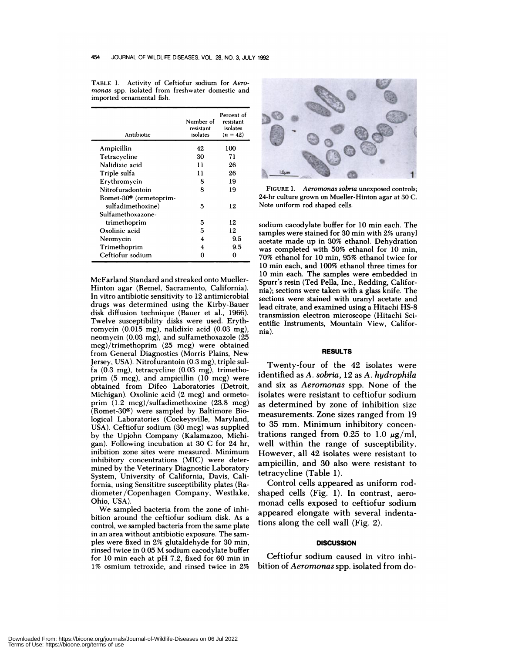| Antibiotic                         | Number of<br>resistant<br>isolates | Percent of<br>resistant<br>isolates<br>$(n = 42)$ |
|------------------------------------|------------------------------------|---------------------------------------------------|
| Ampicillin                         | 42                                 | 100                                               |
| Tetracycline                       | 30                                 | 71                                                |
| Nalidixic acid                     | 11                                 | 26                                                |
| Triple sulfa                       | 11                                 | 26                                                |
| Erythromycin                       | 8                                  | 19                                                |
| Nitrofuradontoin                   | 8                                  | 19                                                |
| Romet-30 <sup>®</sup> (ormetoprim- |                                    |                                                   |
| sulfadimethoxine)                  | 5                                  | 12                                                |
| Sulfamethoxazone-                  |                                    |                                                   |
| trimethoprim                       | 5                                  | 12                                                |
| Oxolinic acid                      | 5                                  | 12                                                |
| Neomvcin                           | 4                                  | 9.5                                               |
| Trimethoprim                       | 4                                  | 9.5                                               |
| Ceftiofur sodium                   | 0                                  | 0                                                 |

TABLE 1. Activity of Ceftiofur sodium for Aero*rnonas* spp. isolated from freshwater domestic and imported ornamental fish.

McFarland Standard and streaked onto Mueller- Hinton agar (Remel, Sacramento, California). In vitro antibiotic sensitivity to 12 antimicrobial drugs was determined using the Kirby-Bauer disk diffusion technique (Bauer et al., 1966). Twelve susceptibility disks were used. Erythromycin (0.015 mg), nalidixic acid (0.03 mg), neomycin (0.03 mg), and sulfamethoxazole (25 mcg)/trimethoprim (25 mcg) were obtained from General Diagnostics (Morris Plains, New Jersey, USA). Nitrofurantoin (0.3 mg), triple sulfa (0.3 mg), tetracycline (0.03 mg), trimetho prim  $(5 \text{ meg})$ , and ampicillin  $(10 \text{ meg})$  were obtained from Difco Laboratories (Detroit, Michigan). Oxolinic acid (2 mcg) and ormeto prim  $(1.2 \text{ mcg})$ /sulfadimethoxine  $(23.8 \text{ mcg})$ (Romet-30 $\circ$ ) were sampled by Baltimore Biological Laboratories (Cockeysville, Maryland, USA). Ceftiofur sodium (30 mcg) was supplied by the Upjohn Company (Kalamazoo, Michi gan). Following incubation at 30 C for 24 hr, inibition zone sites were measured. Minimum inhibitory concentrations (MIC) were determined by the Veterinary Diagnostic Laboratory System, University of California, Davis, California, using Sensititre susceptibility plates (Radiometer /Copenhagen Company, Westlake, Ohio, USA).

We sampled bacteria from the zone of inhibition around the ceftiofur sodium disk. As a control, we sampled bacteria from the same plate in an area without antibiotic exposure. The sam ples were fixed in 2% glutaldehyde for 30 min, rinsed twice in 0.05 M sodium cacodylate buffer for 10 min each at pH 7.2, fixed for 60 min in 1% osmium tetroxide, and rinsed twice in 2%



**FIGURE** 1.*Aeromonas sobria* unexposed controls; 24-hr culture grown on Mueller-Hinton agar at 30 C. Note uniform rod shaped cells.

sodium cacodylate buffer for 10 min each. The samples were stained for 30 min with 2% uranyl acetate made up in 30% ethanol. Dehydration was completed with 50% ethanol for 10 min, 70% ethanol for 10 min, 95% ethanol twice for 10 min each, and 100% ethanol three times for 10 min each. The samples were embedded in Spurr's resin (Ted Pella, Inc., Redding, California); sections were taken with a glass knife. The sections were stained with uranyl acetate and lead citrate, and examined using a Hitachi HS-8 transmission electron microscope (Hitachi Scientific Instruments, Mountain View, California).

#### **RESULTS**

Twenty-four of the 42 isolates were identified as *A. sobria,* 12 as *A. hydrophila* and six as *Aeromonas* spp. None of the isolates were resistant to ceftiofur sodium as determined by zone of inhibition size measurements. Zone sizes ranged from 19 to 35 mm. Minimum inhibitory concentrations ranged from 0.25 to 1.0  $\mu$ g/ml, well within the range of susceptibility. However, all 42 isolates were resistant to ampicillin, and 30 also were resistant to tetracycline (Table 1).

Control cells appeared as uniform rodshaped cells (Fig. 1). In contrast, aeromonad cells exposed to ceftiofur sodium appeared elongate with several indentations along the cell wall (Fig. 2).

### **DISCUSSION**

Ceftiofur sodium caused in vitro inhibition of *Aeromonas* spp. isolated from do-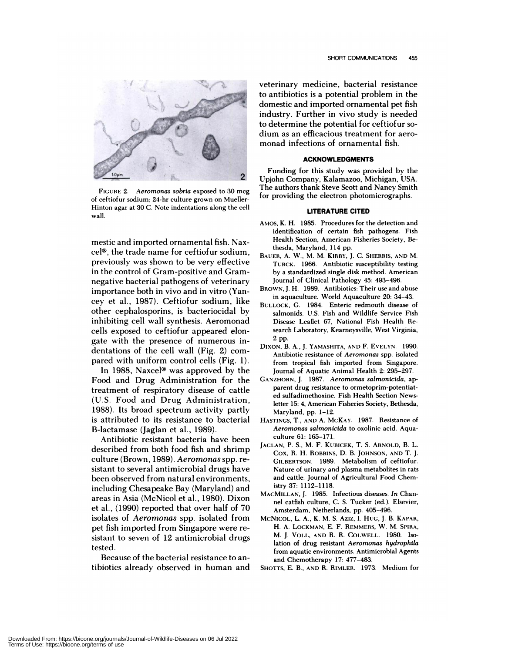

FIGURE 2. *Aerornonas sobria* exposed to 30 mcg of ceftiofur sodium; 24-hr culture grown on Mueller- Hinton agar at 30 C. Note indentations along the cell wall

mestic and imported ornamental fish. Naxcel<sup>®</sup>, the trade name for ceftiofur sodium, previously was shown to be very effective in the control of Gram-positive and Gramnegative bacterial pathogens of veterinary importance both in vivo and in vitro (Yancey et al., 1987). Ceftiofur sodium, like other cephalosporins, is bacteriocidal by inhibiting cell wall synthesis. Aeromonad cells exposed to ceftiofur appeared elongate with the presence of numerous indentations of the cell wall (Fig. 2) com pared with uniform control cells (Fig. 1).

In 1988, Naxcel<sup>®</sup> was approved by the Food and Drug Administration for the treatment of respiratory disease of cattle (U.S. Food and Drug Administration, 1988). Its broad spectrum activity partly is attributed to its resistance to bacterial B-lactamase (Jaglan et al., 1989).

Antibiotic resistant bacteria have been described from both food fish and shrimp culture (Brown, 1989). *Aeromonas* spp. resistant to several antimicrobial drugs have been observed from natural environments, including Chesapeake Bay (Maryland) and areas in Asia (McNicol et al., 1980). Dixon et a!., (1990) reported that over half of 70 isolates of *Aeromonas* spp. isolated from pet fish imported from Singapore were re sistant to seven of 12 antimicrobial drugs tested.

Because of the bacterial resistance to antibiotics already observed in human and veterinary medicine, bacterial resistance to antibiotics is a potential problem in the domestic and imported ornamental pet fish industry. Further in vivo study is needed to determine the potential for ceftiofur so dium as an efficacious treatment for aero monad infections of ornamental fish.

## **ACKNOWLEDGMENTS**

Funding for this study was provided by the 2. Upjohn Company, Kalamazoo, Michigan, USA. The authors thank Steve Scott and Nancy Smith for providing the electron photomicrographs.

#### **LITERATURE CITED**

- AMOS, K. H. 1985. Procedures for the detection and identification of certain fish pathogens. Fish Health Section, American Fisheries Society, Bethesda, Maryland, 114 pp.
- BAUER, A. W., M. M. KIRBY, J. C. SHERRIS, **AND** M. TURCK. 1966. Antibiotic susceptibility testing by a standardized single disk method. American Journal of Clinical Pathology 45: 493-496.
- BROWN, J. H. 1989. Antibiotics: Their use and abuse in aquaculture. World Aquaculture 20: 34-43.
- BULLOCK, C. 1984. Enteric redmouth disease of salmonids. U.S. Fish and Wildlife Service Fish Disease Leaflet 67, National Fish Health Re search Laboratory, Kearneysville, West Virginia, 2 pp.<br>Dixon, B. A., J. Yamashita, and F. Evelyn. 1990.
- Antibiotic resistance of *Aeromonas* spp. isolated from tropical fish imported from Singapore. Journal of Aquatic Animal Health 2: 295-297.
- GANZHORN, J. 1987. *Aeromonas salmonicida,* ap parent drug resistance to ormetoprim-potentiated sulfadimethoxine. Fish Health Section Newsletter 15: 4, American Fisheries Society, Bethesda, Maryland, pp. 1-12.
- HASTINGS, T., AND A. **MCKAY.** 1987. Resistance of *Aerornonas salmonicida* to oxolinic acid. Aqua culture 61: 165-171.
- JAGLAN, P. 5., M. F. **KUBICEK,** T. S. ARNOLD, B. L. Cox, R. H. ROBBINS, D. B. JOHNSON, AND T. J. GILBERTSON. 1989. Metabolism of ceftiofur. Nature of urinary and plasma metabolites in rats and cattle. Journal of Agricultural Food Chemistry 37: 1112-1118.
- **MACMILLAN,** J. 1985. Infectious diseases. *In* Chan nel catfish culture, C. S. Tucker (ed). Elsevier, Amsterdam, Netherlands, pp. 405-496.
- MCNICOL, L. A., K. M. S. AzIz, I. HUG, J. B. **KAPAR,** H. A. LOCKMAN, E. F. REMMERS, W. M. **SPIRA,** M. J. **VOLL, AND** R. R. COLwELL. 1980. Isolation of drug resistant *Aeromonas hydrophila* from aquatic environments. Antimicrobial Agents and Chemotherapy 17: 477-483.
- SHOTTS, E. B., AND R. **RIMLER.** 1973. Medium for